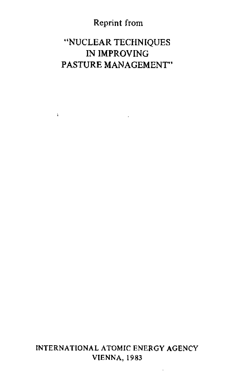### Reprint from

## "NUCLEAR TECHNIQUES IN IMPROVING PASTURE MANAGEMENT"

 $\sim$ 

¥

INTERNATIONAL ATOMIC ENERGY AGENCY VIENNA, 1983

L,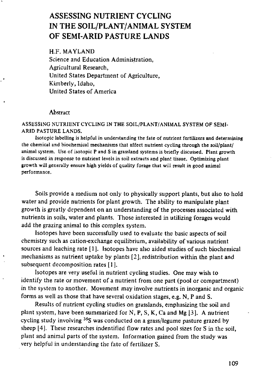# ASSESSING NUTRIENT CYCLING IN THE SOIL/PLANT/ANIMAL SYSTEM OF SEMI-ARID PASTURE LANDS

H.F. MAYLAND Science and Education Administration, Agricultural Research, United States Department of Agriculture, Kimberly, Idaho, United States of America

#### **Abstract**

ASSESSING NUTRIENT CYCLING *IN* THE SOIL/PLANT/ANIMAL SYSTEM OF SEMI-ARID PASTURE LANDS.

Isotopic labelling is helpful in understanding the fate of nutrient fertilizers and determining the chemical and biochemical mechanisms that affect nutrient cycling through the soil/plant/ animal system. Use of isotopic P and S in grassland systems is briefly discussed. Plant growth is discussed in response to nutrient levels in soil extracts and plant tissue. Optimizing plant growth will generally ensure high yields of quality forage that will result in good animal performance.

Soils provide a medium not only to physically support plants, but also to hold water and provide nutrients for plant growth. The ability to manipulate plant growth is greatly dependent on an understanding of the processes associated with nutrients in soils, water and plants. Those interested in utilizing forages would add the grazing animal to this complex system.

Isotopes have been successfully used to evaluate the basic aspects of soil chemistry such as cation-exchange equilibrium, availability of various nutrient sources and leaching rate [1]. Isotopes have also aided studies of such biochemical mechanisms as nutrient uptake by plants [2], redistribution within the plant and subsequent decomposition rates [1 ].

Isotopes are very useful in nutrient cycling studies. One may wish to identify the rate or movement of a nutrient from one part (pool or compartment) in the system to another. Movement may involve nutrients in inorganic and organic forms as well as those that have several oxidation stages, e.g. **N, P** and S.

Results of nutrient cycling studies on grasslands, emphasizing the soil and plant system, have been summarized for N, P, S, K, Ca and Mg 13]. A nutrient cycling study involving 35S was conducted on a grass/legume pasture grazed by sheep [4]. These researches indentified flow rates and pool sizes for S in the soil, plant and animal parts of the system. Information gained from the study was very helpful in understanding the fate of fertilizer S.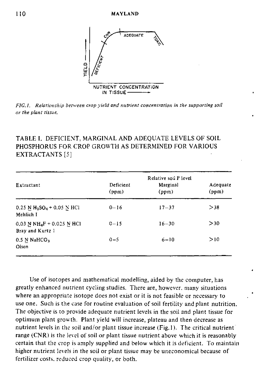

FIG.I, Relationship between crop yield and nutrient concentration in the supporting soil or the plant tissue,

| TABLE I.  DEFICIENT, MARGINAL AND ADEQUATE LEVELS OF SOIL |  |
|-----------------------------------------------------------|--|
| PHOSPHORUS FOR CROP GROWTH AS DETERMINED FOR VARIOUS      |  |
| EXTRACTANTS [5]                                           |  |

|                                                                   |                    | Relative soil P level |                   |
|-------------------------------------------------------------------|--------------------|-----------------------|-------------------|
| Extractant                                                        | Deficient<br>(ppm) | Marginal<br>(ppm)     | Adequate<br>(ppm) |
| $0.25$ N H <sub>2</sub> SO <sub>4</sub> + 0.05 N HCl<br>Mehlich I | $0 - 16$           | $17 - 37$             | >38               |
| 0.03 N NH <sub>4</sub> F + 0.025 N HCl<br>Bray and Kurtz 1        | $0 - 15$           | $16 - 30$             | >30               |
| $0.5$ N NaHCO <sub>3</sub><br>Olsen                               | $0 - 5$            | $6 - 10$              | >10               |

Use of isotopes and mathematical modelling, aided by the computer, has greatly enhanced nutrient cycling studies. There are, however, many situations where an appropriate isotope does not exist or it is not feasible or necessary to use one. Such is the case for routine evaluation of soil fertility and plant nutrition. The objective is to provide adequate nutrient levels in the soil and plant tissue for optimum plant growth. Plant yield will increase, plateau and then decrease as nutrient levels in the soil and/or plant tissue increase (Fig. 1). The critical nutrient range (CNR) is the level of soil or plant tissue nutrient above which it is reasonably certain that the crop is amply supplied and below which it is deficient. To maintain higher nutrient levels in the soil or plant tissue may be uneconomical because of fertilizer costs, reduced crop quality, or both.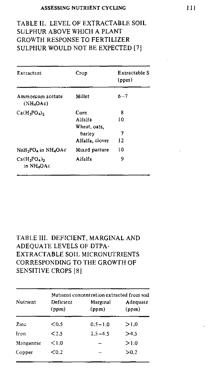### TABLE II. LEVEL OF EXTRACTABLE SOIL SULPHUR ABOVE WHICH A PLANT GROWTH RESPONSE TO FERTILIZER SULPHUR WOULD NOT BE EXPECTED [7]

| Extractant                                              | Crop                                                         | Extractable S<br>(ppm) |
|---------------------------------------------------------|--------------------------------------------------------------|------------------------|
| Ammonium acetate<br>$(NH_4OAc)$                         | Millet                                                       | $6 - 7$                |
| $Ca(H_2PO_4)_2$                                         | Corn<br>Alfalfa<br>Wheat, oats.<br>barley<br>Alfalfa, clover | 8<br>10<br>7<br>12     |
| NaH <sub>2</sub> PO <sub>4</sub> in NH <sub>4</sub> OAc | Mixed pasture                                                | ۱O                     |
| $Ca(H2PO4)2$<br>in NH4OAc                               | Alfalfa                                                      | 9                      |

### TABLE III. DEFICIENT, MARGINAL AND ADEQUATE LEVELS OF DTPA-EXTRACTABLE SOIL MICRONUTRIENTS CORRESPONDING TO THE GROWTH OF SENSITIVE CROPS [8]

|           | Nutrient concentration extracted from soil |                   |                   |  |
|-----------|--------------------------------------------|-------------------|-------------------|--|
| Nutrient  | Deficient<br>(ppm)                         | Marginal<br>(ppm) | Adequate<br>(ppm) |  |
| Zinc.     | < 0.5                                      | $0.5 - 1.0$       | >1.0              |  |
| Iron      | < 2.5                                      | $2.5 - 4.5$       | >4.5              |  |
| Manganese | < 1.0                                      |                   | >1.0              |  |
| Copper    | $0.2$                                      |                   | >0.2              |  |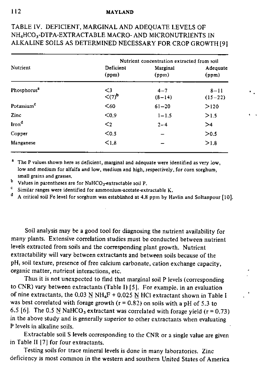#### 112 **MAYLAND**

### TABLE IV. DEFICIENT, MARGINAL AND ADEQUATE LEVELS OF NH4HCO <sup>3</sup> -**DTPA-EXTRACTABLE MACRO- AND MICRON UTRIENTS** IN ALKALINE SOILS AS DETERMINED NECESSARY FOR CROP GROWTH [9]

|                         | Nutrient concentration extracted from soil |                     |                       |  |
|-------------------------|--------------------------------------------|---------------------|-----------------------|--|
| Nutrient                | Deficient<br>(ppm)                         | Marginal<br>(ppm)   | Adequate<br>(ppm)     |  |
| Phosphorus <sup>2</sup> | $\leq$ 3<br>$(7)$                          | $4 - 7$<br>$(8-14)$ | $8 - 11$<br>$(15-22)$ |  |
| Potassium <sup>e</sup>  | $60$                                       | $61 - 20$           | >120                  |  |
| Zinc                    | $0.9$                                      | $1 - 1.5$           | >1.5                  |  |
| Iron <sup>d</sup>       | $\leq$                                     | $2 - 4$             | >4                    |  |
| Copper                  | $0.5$                                      |                     | > 0.5                 |  |
| Manganese               | < 1.8                                      |                     | >1.8                  |  |

<sup>a</sup> The P values shown here as deficient, marginal and adequate were identified as very low, low and medium for alfalfa and low, medium and high, respectively, for corn sorghum, small grains and grasses.

**b** Values in parentheses are for NaHCO<sub>3</sub>-extractable soil P.

<sup>c</sup> Similar ranges were identified for ammonium-acetate-extractable K.

d A critical soil Fe level for sorghum was established at 4.8 ppm by Havlin and Soltanpour [10].

Soil analysis may be a good tool for diagnosing the nutrient availability for many plants. Extensive correlation studies must be conducted between nutrient levels extracted from soils and the corresponding plant growth. Nutrient extractability will vary between extractants and between soils because of the pH, soil texture, presence of free calcium carbonate, cation exchange capacity, organic matter, nutrient interactions, etc.

Thus it is not unexpected to find that marginal soil P levels (corresponding to CNR) vary between extractants (Table I) [5]. For example, in an evaluation of nine extractants, the 0.03 N  $NH_4F + 0.025$  N HCl extractant shown in Table I was best correlated with forage growth  $(r = 0.82)$  on soils with a pH of 5.3 to 6.5 [6]. The 0.5 N NaHCO<sub>3</sub> extractant was correlated with forage yield (r = 0.73) in the above study and is generally superior to other extractants when evaluating P levels in alkaline soils.

Extractable soil S levels corresponding to the CNR or a single value are given in Table II [7] for four extractants.

Testing soils for trace mineral levels is done in many laboratories. Zinc deficiency is most common in the western and southern United States of America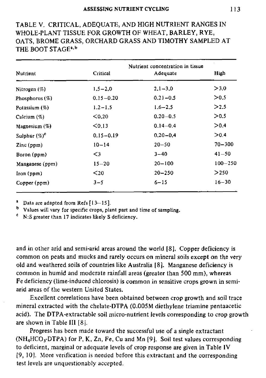### TABLE V. CRITICAL, ADEQUATE, AND HIGH NUTRIENT RANGES IN WHOLE-PLANT TISSUE FOR GROWTH OF WHEAT, BARLEY, RYE, OATS, BROME GRASS, ORCHARD GRASS AND TIMOTHY SAMPLED AT THE BOOT STAGE<sup>4,b</sup>

| Nutrient                             | Critical      | Nutrient concentration in tissue<br>Adequate | High        |
|--------------------------------------|---------------|----------------------------------------------|-------------|
| Nitrogen $(\%)$                      | $1,5 - 2,0$   | $2.1 - 3.0$                                  | >3.0        |
| Phosphorus $(\%)$                    | $0.15 - 0.20$ | $0.21 - 0.5$                                 | > 0.5       |
| Potassium (%)                        | $1.2 - 1.5$   | $1.6 - 2.5$                                  | >2.5        |
| Calcium (%)                          | < 0.20        | $0.20 - 0.5$                                 | > 0.5       |
| Magnesium $(\%)$                     | < 0.13        | $0.14 - 0.4$                                 | > 0.4       |
| Sulphur $(\%)^c$                     | $0.15 - 0.19$ | $0.20 - 0.4$                                 | >0.4        |
| $\text{Zinc}\left(\text{ppm}\right)$ | $10 - 14$     | $20 - 50$                                    | $70 - 300$  |
| Boron $(ppm)$                        | $\leq$ 3      | $3 - 40$                                     | $41 - 50$   |
| Manganese (ppm)                      | $15 - 20$     | $20 - 100$                                   | $100 - 250$ |
| Inom(ppm)                            | $20$          | $20 - 250$                                   | >250        |
| Copper (ppm)                         | $3 - 5$       | $6 - 15$                                     | $16 - 30$   |

<sup>a</sup> Data are adapted from Refs  $[13-15]$ .

Values will vary for specific crops, plant part and time of sampling.

 $c$  N:S greater than 17 indicates likely S deficiency.

and in other arid and semi-arid areas around the world [81. Copper deficiency is common on peats and mucks and rarely occurs on mineral soils except on the very old and weathered soils of countries like Australia **181.** Manganese deficiency is common in humid and moderate rainfall areas (greater than 500 mm), whereas Fe deficiency (lime-induced chlorosis) is common in sensitive crops grown in semiarid areas of the western United States.

Excellent correlations have been obtained between crop growth and soil trace mineral extracted with the chelate-DTPA (0.005M diethylene triamine pentaacetic acid). The DTPA-extractable soil micro-nutrient levels corresponding to crop growth are shown in Table III [8j.

Progress has been made toward the successful use of a single extractant  $(NH_4HCO_TDTPA)$  for P, K, Zn, Fe, Cu and Mn [9]. Soil test values corresponding to deficient, marginal or adequate levels of crop response are given in Table IV [9, 10]. More verification is needed before this extractant and the corresponding test levels are unquestionably accepted.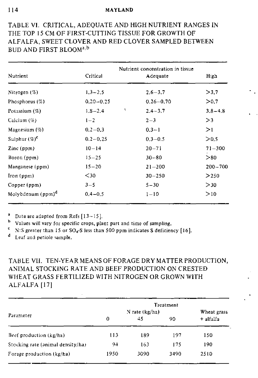#### 114 **MAYLAND**

### TABLE Vi. CRITICAL, ADEQUATE AND HIGH NUTRIENT RANGES IN THE TOP 15 CM OF FIRST-CUTTING TISSUE FOR GROWTH OF ALFALFA, SWEET CLOVER AND RED CLOVER SAMPLED BETWEEN BUD AND FIRST BLOOM<sup>a,b</sup>

| Nutrient                      | Critical       |    | Nutrient concentration in tissue<br>Adequate | High        |
|-------------------------------|----------------|----|----------------------------------------------|-------------|
| Nitrogen $(%)$                | $1.3 - 2.5$    |    | $2.6 - 3.7$                                  | >3.7        |
| Phosphorus $(\%)$             | $0, 20 - 0.25$ |    | $0.26 - 0.70$                                | > 0.7       |
| Potassium $(\%)$              | $1.8 - 2.4$    | A. | $2.4 - 3.7$                                  | $3.8 - 4.8$ |
| Calcium (%)                   | $1 - 2$        |    | $2 - 3$                                      | >3          |
| Magnesium $(\%)$              | $0.2 - 0.3$    |    | $0.3 - 1$                                    | >1          |
| Sulphur $(\%)^c$              | $0.2 - 0.25$   |    | $0.3 - 0.5$                                  | > 0.5       |
| $\text{Zinc (ppm)}$           | $10 - 14$      |    | $20 - 71$                                    | $71 - 300$  |
| Boron (ppm)                   | $15 - 25$      |    | $30 - 80$                                    | >80         |
| Manganese (ppm)               | $15 - 20$      |    | $21 - 200$                                   | $200 - 700$ |
| lron (ppm)                    | $30$           |    | $30 - 250$                                   | > 250       |
| Copper (ppm)                  | $3 - 5$        |    | $5 - 30$                                     | >30         |
| Molybdenum (ppm) <sup>a</sup> | $0.4 - 0.5$    |    | $1 - 10$                                     | >10         |

<sup>a</sup> Data are adapted from Refs  $[13-15]$ .<br><sup>b</sup> Values will vary for specific group pla

Values will vary for specific crops, plant part and time of sampling.

 $\mathbf{c}$ N:S greater than 15 or  $SO_4$ -S less than 500 ppm indicates S deficiency [16].

d Leaf and petiole sample.

### TABLE VII. TEN-YEAR MEANS OF FORAGE DRY MATTER PRODUCTION, ANIMAL STOCKING RATE AND BEEF PRODUCTION ON CRESTED WHEAT GRASS FERTILIZED WITH NITROGEN OR GROWN WITH ALFALFA [171

|                                   |      | N rate $(kg/ha)$ | Treatment | Wheat grass |
|-----------------------------------|------|------------------|-----------|-------------|
| Parameter                         | 0    | 45               | 90        | $+$ alfalfa |
| Beef production (kg/ha)           | 113  | 189              | 197       | 150         |
| Stocking rate (animal density/ha) | 94   | 163              | 175       | 190         |
| Forage production (kg/ha)         | 1950 | 3090             | 3490      | 2510        |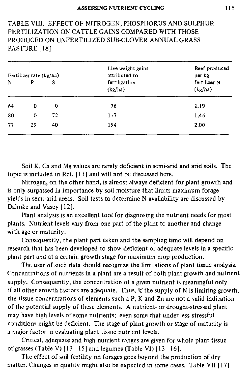### TABLE VIII, EFFECT OF NITROGEN, PHOSPHORUS AND SULPHUR FERTILIZATION ON CATTLE GAINS COMPARED WITH THOSE PRODUCED ON UNFERTILIZED SUB-CLOVER ANNUAL GRASS PASTURE [18]

| Fertilizer rate (kg/ha) |    |    | Live weight gains<br>attributed to | Beef produced<br>per kg |
|-------------------------|----|----|------------------------------------|-------------------------|
| N                       | P  | s  | fertilization<br>(kg/ha)           | fertilizer N<br>(kg/ha) |
| 64                      | 0  | 0  | 76                                 | 1.19                    |
| 80                      | 0  | 72 | 117                                | 1.46                    |
| 77                      | 29 | 40 | 154                                | 2,00                    |

Soil K, Ca and Mg values are rarely deficient in semi-arid and arid soils. The topic is included in Ref. 111] and will not be discussed here.

Nitrogen, on the other hand, is almost always deficient for plant growth and is only surpassed in importance by soil moisture that limits maximum forage yields in semi-arid areas. Soil tests to determine N availability are discussed by Dahnke and Vasey [12].

Plant analysis is an excellent tool for diagnosing the nutrient needs for most plants. Nutrient levels vary from one part of the plant to another and change with age or maturity.

Consequently, the plant part taken and the sampling time will depend on research that has been developed to show deficient or adequate levels in a specific plant part and at a certain growth stage for maximum crop production.

The user of such data should recognize the limitations of plant tissue analysis. Concentrations of nutrients in a plant are a result of both plant growth and nutrient supply. Consequently, the concentration of a given nutrient is meaningful only if all other growth factors are adequate. Thus, if the supply of N is limiting growth, the tissue concentrations of elements such a P, K and Zn are not a valid indication of the potential supply of these elements. A nutrient- or drought-stressed plant may have high levels of some nutrients; even some that under less stressful conditions might be deficient. The stage of plant growth or stage of maturity is a major factor in evaluating plant tissue nutrient levels.

Critical, adequate and high nutrient ranges are given for whole plant tissue of grasses (Table V)  $[13-15]$  and legumes (Table VI)  $[13-16]$ .

The effect of soil fertility on forages goes beyond the production of dry matter. Changes in quality might also be expected in some cases. Table VII [17]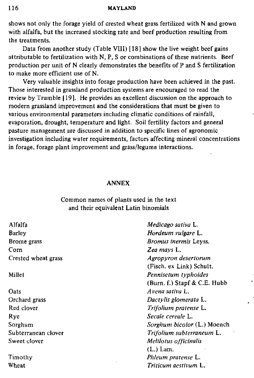#### 116 **MAYLAND**

shows not only the forage yield of crested wheat grass fertilized with N and grown with alfalfa, but the increased stocking rate and beef production resulting from the treatments.

Data from another study (Table VIII) [18] show the live weight beef gains attributable to fertilization with N, P, S or combinations of these nutrients. Beef production per unit of N clearly demonstrates the benefits of P and S fertilization to make more efficient use of N.

Very valuable insights into forage production have been achieved in the past. Those interested in grassland production systems are encouraged to read the review by Trumble [19]. He provides an excellent discussion on the approach to modern grassland improvement and the considerations that must be given to various environmental parameters including climatic conditions of rainfall, evaporation, drought, temperature and light. Soil fertility factors and general pasture management are discussed in addition to specific lines of agronomic investigation including water requirements, factors affecting mineral concentrations in forage, forage plant improvement and grass/legume interactions.

#### ANNEX

#### Common names of plants used in the text and their equivalent Latin binomials

| Alfalfa             | Medicago sativa L.                 |
|---------------------|------------------------------------|
| <b>Barley</b>       | Hordeum vulgare L.                 |
| Brome grass         | <i>Bromus inermis</i> Leyss.       |
| Corn                | Zea mays L.                        |
| Crested wheat grass | Agropyron desertorum               |
|                     | (Fisch. ex Link) Schult.           |
| Millet              | Pennisetum typhoides               |
|                     | (Burn. f.) Stapf & C.E. Hubb       |
| Oats                | Avena sativa L.                    |
| Orchard grass       | Dactylis glomerata L.              |
| Red clover          | Trifolium pratense L.              |
| Rye                 | Secale cereale L.                  |
| Sorghum             | <i>Sorghum bicolor</i> (L.) Moench |
| Subterranean clover | Trifolium subterraneum L.          |
| Sweet clover        | Melilotus officinalis              |
|                     | $(L.)$ Lam.                        |
| Timothy             | Phleum pratense L.                 |
| Wheat               | Triticum aestivum L.               |